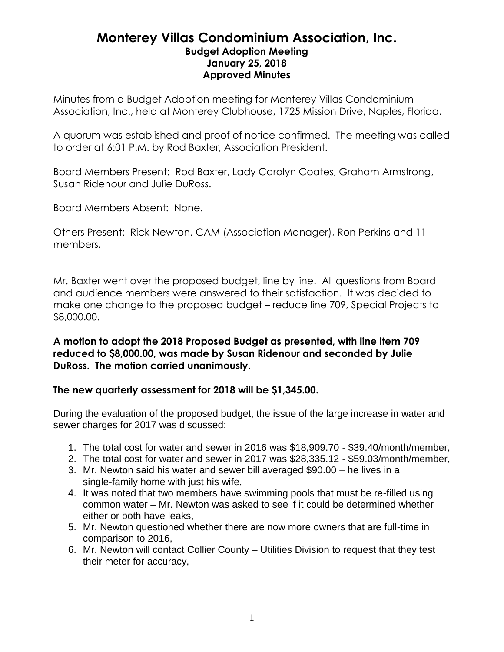## **Monterey Villas Condominium Association, Inc. Budget Adoption Meeting January 25, 2018 Approved Minutes**

Minutes from a Budget Adoption meeting for Monterey Villas Condominium Association, Inc., held at Monterey Clubhouse, 1725 Mission Drive, Naples, Florida.

A quorum was established and proof of notice confirmed. The meeting was called to order at 6:01 P.M. by Rod Baxter, Association President.

Board Members Present: Rod Baxter, Lady Carolyn Coates, Graham Armstrong, Susan Ridenour and Julie DuRoss.

Board Members Absent: None.

Others Present: Rick Newton, CAM (Association Manager), Ron Perkins and 11 members.

Mr. Baxter went over the proposed budget, line by line. All questions from Board and audience members were answered to their satisfaction. It was decided to make one change to the proposed budget – reduce line 709, Special Projects to \$8,000.00.

**A motion to adopt the 2018 Proposed Budget as presented, with line item 709 reduced to \$8,000.00, was made by Susan Ridenour and seconded by Julie DuRoss. The motion carried unanimously.**

## **The new quarterly assessment for 2018 will be \$1,345.00.**

During the evaluation of the proposed budget, the issue of the large increase in water and sewer charges for 2017 was discussed:

- 1. The total cost for water and sewer in 2016 was \$18,909.70 \$39.40/month/member,
- 2. The total cost for water and sewer in 2017 was \$28,335.12 \$59.03/month/member,
- 3. Mr. Newton said his water and sewer bill averaged \$90.00 he lives in a single-family home with just his wife,
- 4. It was noted that two members have swimming pools that must be re-filled using common water – Mr. Newton was asked to see if it could be determined whether either or both have leaks,
- 5. Mr. Newton questioned whether there are now more owners that are full-time in comparison to 2016,
- 6. Mr. Newton will contact Collier County Utilities Division to request that they test their meter for accuracy,